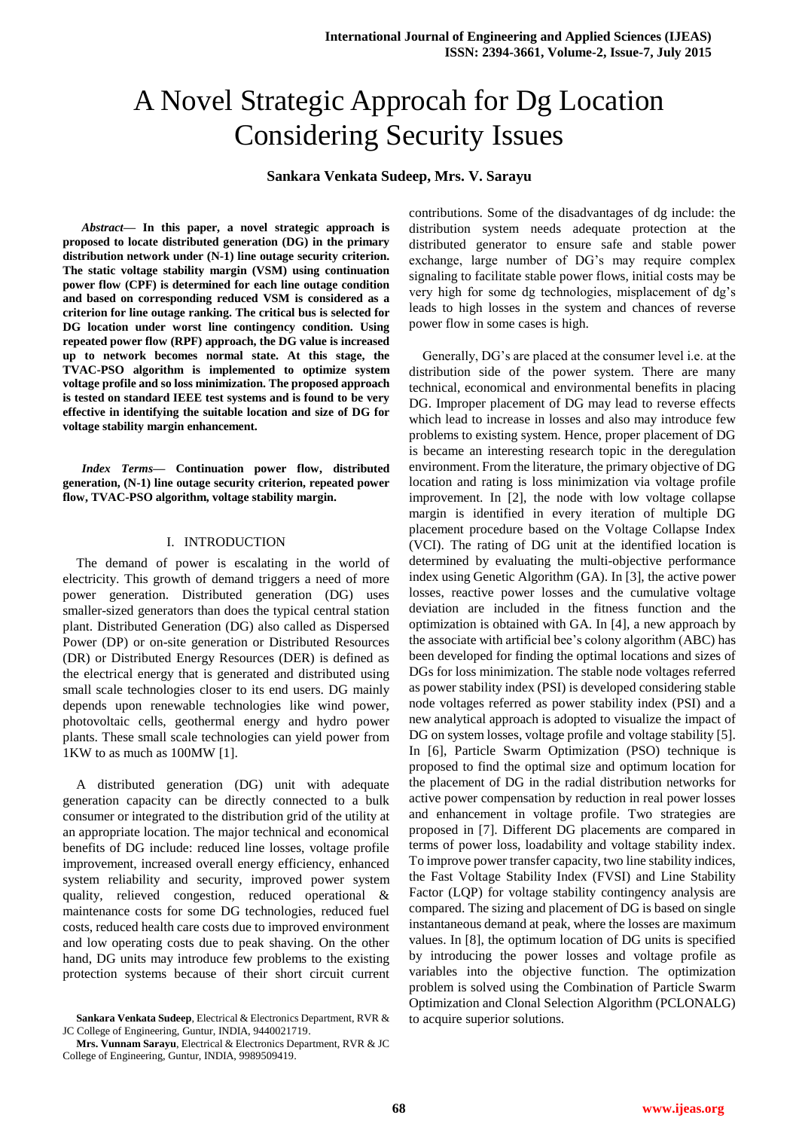# A Novel Strategic Approcah for Dg Location Considering Security Issues

## **Sankara Venkata Sudeep, Mrs. V. Sarayu**

*Abstract***— In this paper, a novel strategic approach is proposed to locate distributed generation (DG) in the primary distribution network under (N-1) line outage security criterion. The static voltage stability margin (VSM) using continuation power flow (CPF) is determined for each line outage condition and based on corresponding reduced VSM is considered as a criterion for line outage ranking. The critical bus is selected for DG location under worst line contingency condition. Using repeated power flow (RPF) approach, the DG value is increased up to network becomes normal state. At this stage, the TVAC-PSO algorithm is implemented to optimize system voltage profile and so loss minimization. The proposed approach is tested on standard IEEE test systems and is found to be very effective in identifying the suitable location and size of DG for voltage stability margin enhancement.** 

*Index Terms***— Continuation power flow, distributed generation, (N-1) line outage security criterion, repeated power flow, TVAC-PSO algorithm, voltage stability margin.**

#### I. INTRODUCTION

The demand of power is escalating in the world of electricity. This growth of demand triggers a need of more power generation. Distributed generation (DG) uses smaller-sized generators than does the typical central station plant. Distributed Generation (DG) also called as Dispersed Power (DP) or on-site generation or Distributed Resources (DR) or Distributed Energy Resources (DER) is defined as the electrical energy that is generated and distributed using small scale technologies closer to its end users. DG mainly depends upon renewable technologies like wind power, photovoltaic cells, geothermal energy and hydro power plants. These small scale technologies can yield power from 1KW to as much as 100MW [1].

A distributed generation (DG) unit with adequate generation capacity can be directly connected to a bulk consumer or integrated to the distribution grid of the utility at an appropriate location. The major technical and economical benefits of DG include: reduced line losses, voltage profile improvement, increased overall energy efficiency, enhanced system reliability and security, improved power system quality, relieved congestion, reduced operational & maintenance costs for some DG technologies, reduced fuel costs, reduced health care costs due to improved environment and low operating costs due to peak shaving. On the other hand, DG units may introduce few problems to the existing protection systems because of their short circuit current contributions. Some of the disadvantages of dg include: the distribution system needs adequate protection at the distributed generator to ensure safe and stable power exchange, large number of DG"s may require complex signaling to facilitate stable power flows, initial costs may be very high for some dg technologies, misplacement of dg"s leads to high losses in the system and chances of reverse power flow in some cases is high.

Generally, DG"s are placed at the consumer level i.e. at the distribution side of the power system. There are many technical, economical and environmental benefits in placing DG. Improper placement of DG may lead to reverse effects which lead to increase in losses and also may introduce few problems to existing system. Hence, proper placement of DG is became an interesting research topic in the deregulation environment. From the literature, the primary objective of DG location and rating is loss minimization via voltage profile improvement. In [2], the node with low voltage collapse margin is identified in every iteration of multiple DG placement procedure based on the Voltage Collapse Index (VCI). The rating of DG unit at the identified location is determined by evaluating the multi-objective performance index using Genetic Algorithm (GA). In [3], the active power losses, reactive power losses and the cumulative voltage deviation are included in the fitness function and the optimization is obtained with GA. In [4], a new approach by the associate with artificial bee"s colony algorithm (ABC) has been developed for finding the optimal locations and sizes of DGs for loss minimization. The stable node voltages referred as power stability index (PSI) is developed considering stable node voltages referred as power stability index (PSI) and a new analytical approach is adopted to visualize the impact of DG on system losses, voltage profile and voltage stability [5]. In [6], Particle Swarm Optimization (PSO) technique is proposed to find the optimal size and optimum location for the placement of DG in the radial distribution networks for active power compensation by reduction in real power losses and enhancement in voltage profile. Two strategies are proposed in [7]. Different DG placements are compared in terms of power loss, loadability and voltage stability index. To improve power transfer capacity, two line stability indices, the Fast Voltage Stability Index (FVSI) and Line Stability Factor (LQP) for voltage stability contingency analysis are compared. The sizing and placement of DG is based on single instantaneous demand at peak, where the losses are maximum values. In [8], the optimum location of DG units is specified by introducing the power losses and voltage profile as variables into the objective function. The optimization problem is solved using the Combination of Particle Swarm Optimization and Clonal Selection Algorithm (PCLONALG) to acquire superior solutions.

**Sankara Venkata Sudeep**, Electrical & Electronics Department, RVR & JC College of Engineering, Guntur, INDIA, 9440021719.

**Mrs. Vunnam Sarayu**, Electrical & Electronics Department, RVR & JC College of Engineering, Guntur, INDIA, 9989509419.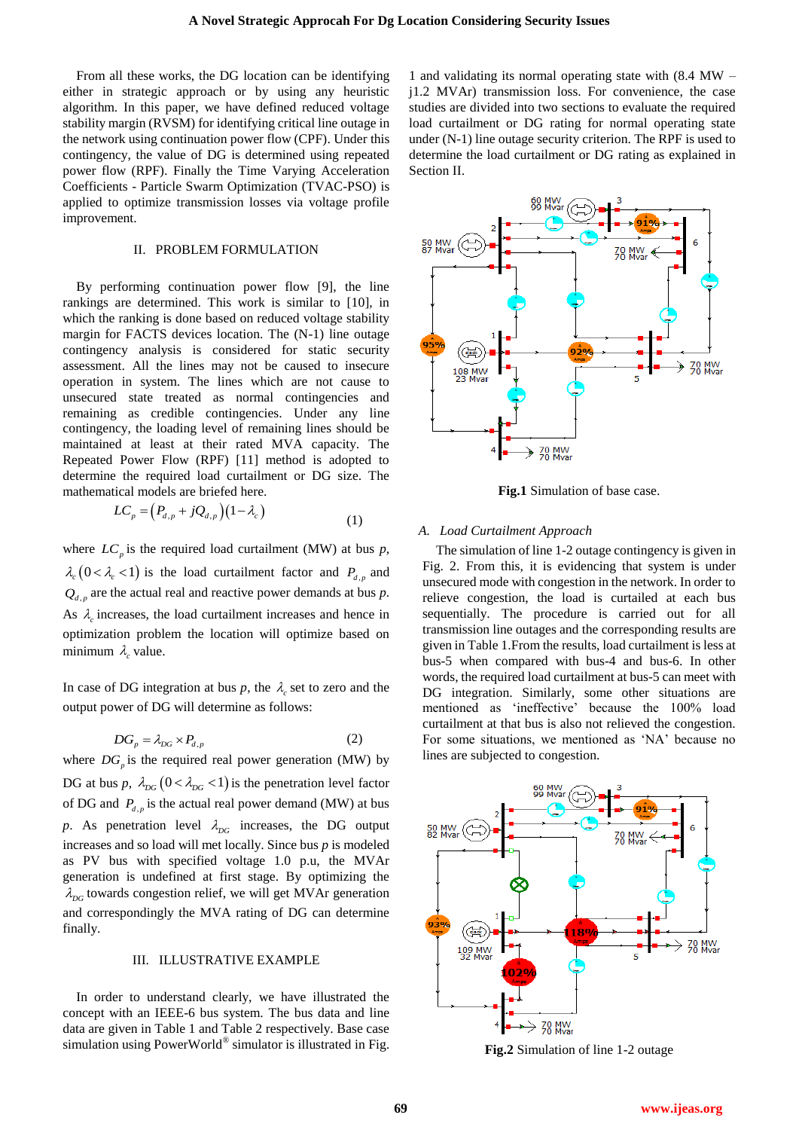From all these works, the DG location can be identifying either in strategic approach or by using any heuristic algorithm. In this paper, we have defined reduced voltage stability margin (RVSM) for identifying critical line outage in the network using continuation power flow (CPF). Under this contingency, the value of DG is determined using repeated power flow (RPF). Finally the Time Varying Acceleration Coefficients - Particle Swarm Optimization (TVAC-PSO) is applied to optimize transmission losses via voltage profile improvement.

#### II. PROBLEM FORMULATION

By performing continuation power flow [9], the line rankings are determined. This work is similar to [10], in which the ranking is done based on reduced voltage stability margin for FACTS devices location. The (N-1) line outage contingency analysis is considered for static security assessment. All the lines may not be caused to insecure operation in system. The lines which are not cause to unsecured state treated as normal contingencies and remaining as credible contingencies. Under any line contingency, the loading level of remaining lines should be maintained at least at their rated MVA capacity. The Repeated Power Flow (RPF) [11] method is adopted to determine the required load curtailment or DG size. The mathematical models are briefed here.

$$
LC_p = (P_{d,p} + jQ_{d,p})(1 - \lambda_c)
$$
\n(1)

where  $LC_p$  is the required load curtailment (MW) at bus  $p$ ,  $\lambda_c$  (0 <  $\lambda_c$  < 1) is the load curtailment factor and  $P_{d,p}$  and  $Q_{d,p}$  are the actual real and reactive power demands at bus  $p$ . As  $\lambda_c$  increases, the load curtailment increases and hence in optimization problem the location will optimize based on minimum  $\lambda_c$  value.

In case of DG integration at bus  $p$ , the  $\lambda_c$  set to zero and the output power of DG will determine as follows:

$$
DG_p = \lambda_{DG} \times P_{d,p} \tag{2}
$$

where  $DG_p$  is the required real power generation (MW) by DG at bus *p*,  $\lambda_{DG}$  (0 <  $\lambda_{DG}$  < 1) is the penetration level factor of DG and  $P_{d,p}$  is the actual real power demand (MW) at bus p. As penetration level  $\lambda_{DG}$  increases, the DG output increases and so load will met locally. Since bus *p* is modeled as PV bus with specified voltage 1.0 p.u, the MVAr generation is undefined at first stage. By optimizing the  $\lambda_{DG}$  towards congestion relief, we will get MVAr generation and correspondingly the MVA rating of DG can determine finally.

# III. ILLUSTRATIVE EXAMPLE

In order to understand clearly, we have illustrated the concept with an IEEE-6 bus system. The bus data and line data are given in Table 1 and Table 2 respectively. Base case simulation using PowerWorld® simulator is illustrated in Fig.

1 and validating its normal operating state with (8.4 MW – j1.2 MVAr) transmission loss. For convenience, the case studies are divided into two sections to evaluate the required load curtailment or DG rating for normal operating state under (N-1) line outage security criterion. The RPF is used to determine the load curtailment or DG rating as explained in Section II.



**Fig.1** Simulation of base case.

## *A. Load Curtailment Approach*

The simulation of line 1-2 outage contingency is given in Fig. 2. From this, it is evidencing that system is under unsecured mode with congestion in the network. In order to relieve congestion, the load is curtailed at each bus sequentially. The procedure is carried out for all transmission line outages and the corresponding results are given in Table 1.From the results, load curtailment is less at bus-5 when compared with bus-4 and bus-6. In other words, the required load curtailment at bus-5 can meet with DG integration. Similarly, some other situations are mentioned as "ineffective" because the 100% load curtailment at that bus is also not relieved the congestion. For some situations, we mentioned as "NA" because no lines are subjected to congestion.



**Fig.2** Simulation of line 1-2 outage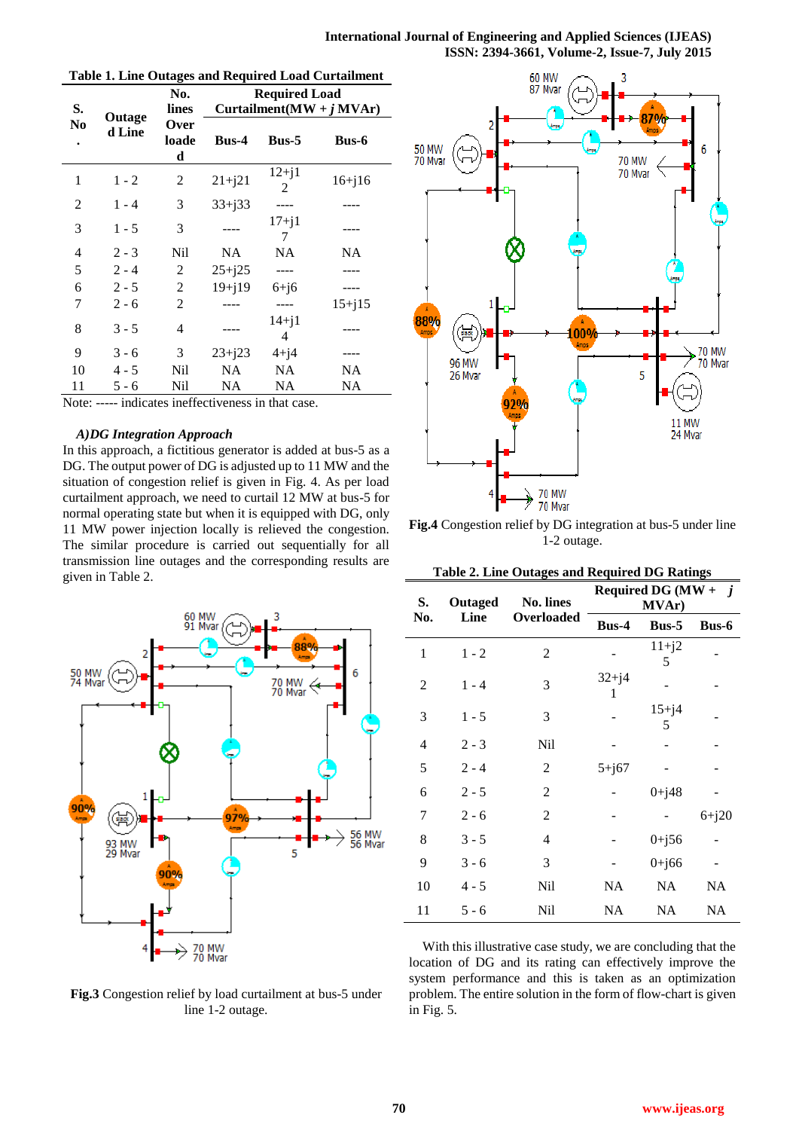**International Journal of Engineering and Applied Sciences (IJEAS) ISSN: 2394-3661, Volume-2, Issue-7, July 2015** 

|                |                  | No.                         |            |                | <b>Required Load</b><br>Curtailment ( $\text{MW} + j \text{MVAr}$ ) |  |
|----------------|------------------|-----------------------------|------------|----------------|---------------------------------------------------------------------|--|
| S.<br>No       | Outage<br>d Line | lines<br>Over<br>loade<br>d | $Bus-4$    | $Bus-5$        | <b>Bus-6</b>                                                        |  |
| 1              | $1 - 2$          | 2                           | $21 + j21$ | $12 + j1$<br>2 | $16 + j16$                                                          |  |
| 2              | $1 - 4$          | 3                           | $33+j33$   |                |                                                                     |  |
| 3              | $1 - 5$          | 3                           |            | $17 + i1$<br>7 |                                                                     |  |
| $\overline{4}$ | $2 - 3$          | Nil                         | NA         | NA             | NA                                                                  |  |
| 5              | $2 - 4$          | 2                           | $25 + j25$ |                |                                                                     |  |
| 6              | $2 - 5$          | 2                           | $19 + j19$ | $6+j6$         |                                                                     |  |
| 7              | $2 - 6$          | 2                           |            |                | $15 + j15$                                                          |  |
| 8              | $3 - 5$          | 4                           |            | $14 + j1$<br>4 |                                                                     |  |
| 9              | $3 - 6$          | 3                           | $23 + j23$ | $4+j4$         |                                                                     |  |
| 10             | $4 - 5$          | Nil                         | NA         | NA             | NA                                                                  |  |
| 11             | $5 - 6$          | Nil                         | NA         | NA             | NA                                                                  |  |

Note: ----- indicates ineffectiveness in that case.

# *A)DG Integration Approach*

In this approach, a fictitious generator is added at bus-5 as a DG. The output power of DG is adjusted up to 11 MW and the situation of congestion relief is given in Fig. 4. As per load curtailment approach, we need to curtail 12 MW at bus-5 for normal operating state but when it is equipped with DG, only 11 MW power injection locally is relieved the congestion. The similar procedure is carried out sequentially for all transmission line outages and the corresponding results are given in Table 2.



**Fig.3** Congestion relief by load curtailment at bus-5 under line 1-2 outage.



**Fig.4** Congestion relief by DG integration at bus-5 under line 1-2 outage.

| S.             | Outaged | No. lines      | Required DG (MW + $j$<br><b>MVAr</b> ) |                |              |
|----------------|---------|----------------|----------------------------------------|----------------|--------------|
| No.            | Line    | Overloaded     | Bus-4                                  | $Bus-5$        | <b>Bus-6</b> |
| $\mathbf{1}$   | $1 - 2$ | 2              |                                        | $11+j2$<br>5   |              |
| 2              | $1 - 4$ | 3              | $32+j4$<br>1                           |                |              |
| 3              | $1 - 5$ | 3              |                                        | $15 + j4$<br>5 |              |
| $\overline{4}$ | $2 - 3$ | Nil            |                                        |                |              |
| 5              | $2 - 4$ | 2              | $5 + j67$                              |                |              |
| 6              | $2 - 5$ | $\overline{c}$ |                                        | $0 + j48$      |              |
| 7              | $2 - 6$ | 2              |                                        |                | $6 + j20$    |
| 8              | $3 - 5$ | 4              |                                        | $0 + j56$      |              |
| 9              | $3 - 6$ | 3              |                                        | $0 + j66$      |              |
| 10             | $4 - 5$ | <b>Nil</b>     | NA                                     | NA             | NA           |
| 11             | $5 - 6$ | Nil            | NA                                     | NA             | NA           |

**Table 2. Line Outages and Required DG Ratings**

With this illustrative case study, we are concluding that the location of DG and its rating can effectively improve the system performance and this is taken as an optimization problem. The entire solution in the form of flow-chart is given in Fig. 5.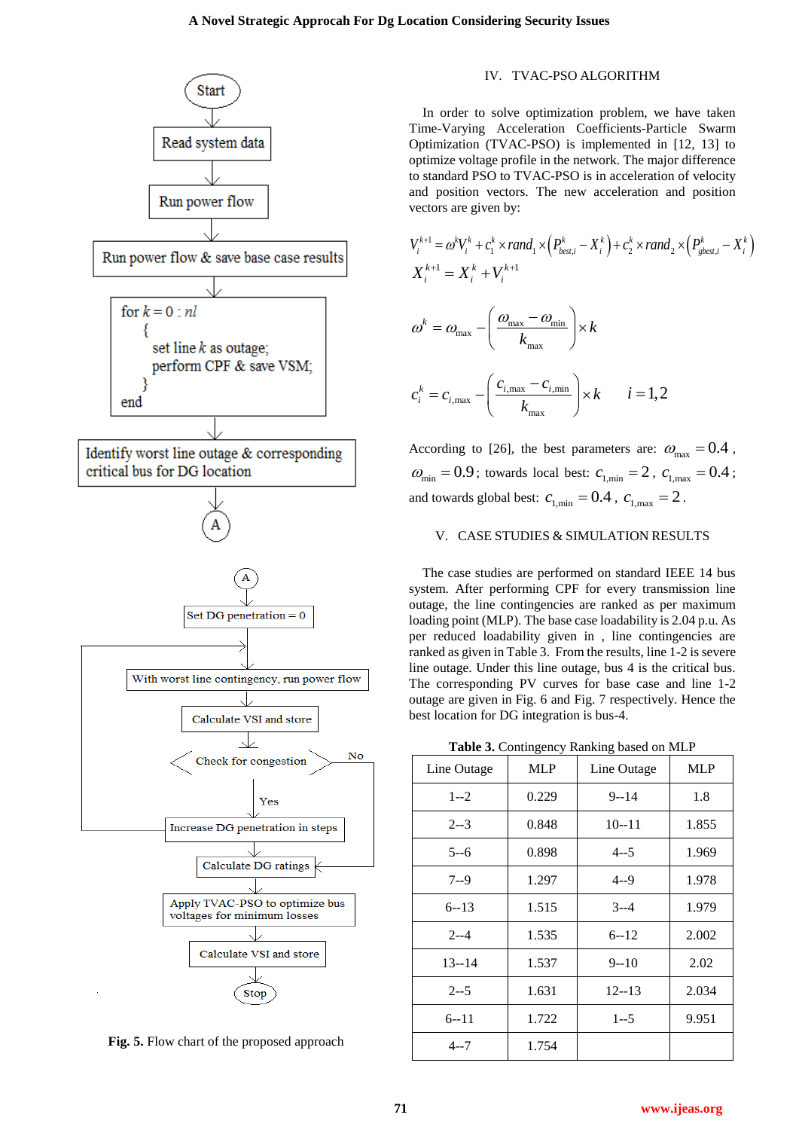

**Fig. 5.** Flow chart of the proposed approach

## IV. TVAC-PSO ALGORITHM

In order to solve optimization problem, we have taken Time-Varying Acceleration Coefficients-Particle Swarm Optimization (TVAC-PSO) is implemented in [12, 13] to optimize voltage profile in the network. The major difference to standard PSO to TVAC-PSO is in acceleration of velocity and position vectors. The new acceleration and position vectors are given by:

vectors are given by:  
\n
$$
V_i^{k+1} = \omega^k V_i^k + c_1^k \times rand_1 \times (P_{best,i}^k - X_i^k) + c_2^k \times rand_2 \times (P_{gbest,i}^k - X_i^k)
$$
\n
$$
X_i^{k+1} = X_i^k + V_i^{k+1}
$$
\n
$$
\omega^k = \omega_{max} - \left(\frac{\omega_{max} - \omega_{min}}{k_{max}}\right) \times k
$$
\n
$$
c_i^k = c_{i,max} - \left(\frac{c_{i,max} - c_{i,min}}{k_{max}}\right) \times k \qquad i = 1, 2
$$

According to [26], the best parameters are:  $\omega_{\text{max}} = 0.4$ ,  $\omega_{\text{min}} = 0.9$ ; towards local best:  $c_{1,\text{min}} = 2$ ,  $c_{1,\text{max}} = 0.4$ ; and towards global best:  $c_{1,\text{min}} = 0.4$ ,  $c_{1,\text{max}} = 2$ .

# V. CASE STUDIES & SIMULATION RESULTS

The case studies are performed on standard IEEE 14 bus system. After performing CPF for every transmission line outage, the line contingencies are ranked as per maximum loading point (MLP). The base case loadability is 2.04 p.u. As per reduced loadability given in , line contingencies are ranked as given in Table 3. From the results, line 1-2 is severe line outage. Under this line outage, bus 4 is the critical bus. The corresponding PV curves for base case and line 1-2 outage are given in Fig. 6 and Fig. 7 respectively. Hence the best location for DG integration is bus-4.

|  |  | Table 3. Contingency Ranking based on MLP |  |  |  |
|--|--|-------------------------------------------|--|--|--|
|--|--|-------------------------------------------|--|--|--|

| Line Outage | <b>MLP</b> | Line Outage | <b>MLP</b> |
|-------------|------------|-------------|------------|
| $1 - 2$     | 0.229      | $9 - 14$    | 1.8        |
| $2 - 3$     | 0.848      | $10 - 11$   | 1.855      |
| $5 - 6$     | 0.898      | $4 - 5$     | 1.969      |
| $7 - 9$     | 1.297      | $4 - 9$     | 1.978      |
| $6 - 13$    | 1.515      | $3 - 4$     | 1.979      |
| $2 - -4$    | 1.535      | $6 - 12$    | 2.002      |
| $13 - 14$   | 1.537      | $9 - 10$    | 2.02       |
| $2 - -5$    | 1.631      | $12 - 13$   | 2.034      |
| $6 - 11$    | 1.722      | $1 - -5$    | 9.951      |
| $4 - 7$     | 1.754      |             |            |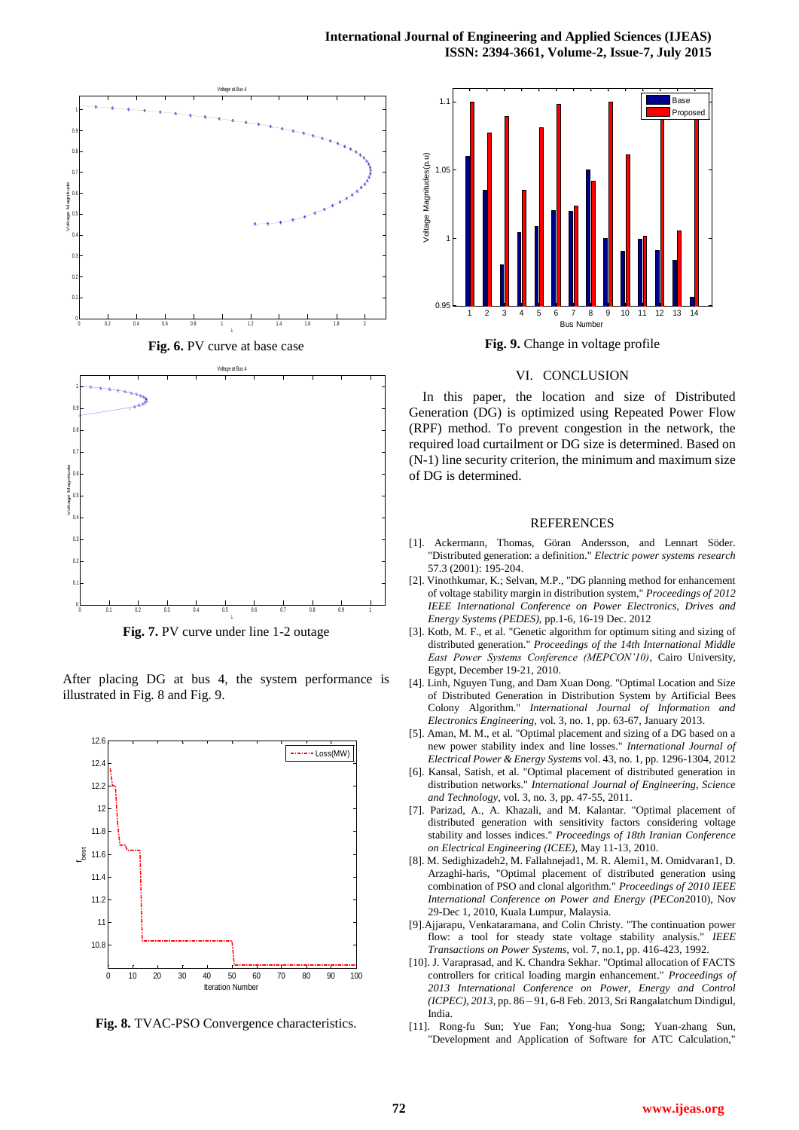

**Fig. 7.** PV curve under line 1-2 outage

After placing DG at bus 4, the system performance is illustrated in Fig. 8 and Fig. 9.



**Fig. 8.** TVAC-PSO Convergence characteristics.



**Fig. 9.** Change in voltage profile

#### VI. CONCLUSION

In this paper, the location and size of Distributed Generation (DG) is optimized using Repeated Power Flow (RPF) method. To prevent congestion in the network, the required load curtailment or DG size is determined. Based on (N-1) line security criterion, the minimum and maximum size of DG is determined.

#### **REFERENCES**

- [1]. Ackermann, Thomas, Göran Andersson, and Lennart Söder. "Distributed generation: a definition." *Electric power systems research* 57.3 (2001): 195-204.
- [2]. Vinothkumar, K.; Selvan, M.P., "DG planning method for enhancement of voltage stability margin in distribution system," *Proceedings of 2012 IEEE International Conference on Power Electronics, Drives and Energy Systems (PEDES),* pp.1-6, 16-19 Dec. 2012
- [3]. Kotb, M. F., et al. "Genetic algorithm for optimum siting and sizing of distributed generation." *Proceedings of the 14th International Middle East Power Systems Conference (MEPCON'10)*, Cairo University, Egypt, December 19-21, 2010.
- [4]. Linh, Nguyen Tung, and Dam Xuan Dong. "Optimal Location and Size of Distributed Generation in Distribution System by Artificial Bees Colony Algorithm." *International Journal of Information and Electronics Engineering,* vol. 3, no. 1, pp. 63-67, January 2013.
- [5]. Aman, M. M., et al. "Optimal placement and sizing of a DG based on a new power stability index and line losses." *International Journal of Electrical Power & Energy Systems* vol. 43, no. 1, pp. 1296-1304, 2012
- [6]. Kansal, Satish, et al. "Optimal placement of distributed generation in distribution networks." *International Journal of Engineering, Science and Technology*, vol. 3, no. 3, pp. 47-55, 2011.
- [7]. Parizad, A., A. Khazali, and M. Kalantar. "Optimal placement of distributed generation with sensitivity factors considering voltage stability and losses indices." *Proceedings of 18th Iranian Conference on Electrical Engineering (ICEE),* May 11-13, 2010.
- [8]. M. Sedighizadeh2, M. Fallahnejad1, M. R. Alemi1, M. Omidvaran1, D. Arzaghi-haris, "Optimal placement of distributed generation using combination of PSO and clonal algorithm." *Proceedings of 2010 IEEE International Conference on Power and Energy (PECon*2010), Nov 29-Dec 1, 2010, Kuala Lumpur, Malaysia.
- [9].Ajjarapu, Venkataramana, and Colin Christy. "The continuation power flow: a tool for steady state voltage stability analysis." *IEEE Transactions on Power Systems,* vol. 7, no.1, pp. 416-423, 1992.
- [10]. J. Varaprasad, and K. Chandra Sekhar. "Optimal allocation of FACTS controllers for critical loading margin enhancement." *Proceedings of 2013 International Conference on Power, Energy and Control (ICPEC), 2013*, pp. 86 – 91, 6-8 Feb. 2013, Sri Rangalatchum Dindigul, India.
- [11]. Rong-fu Sun; Yue Fan; Yong-hua Song; Yuan-zhang Sun, "Development and Application of Software for ATC Calculation,"